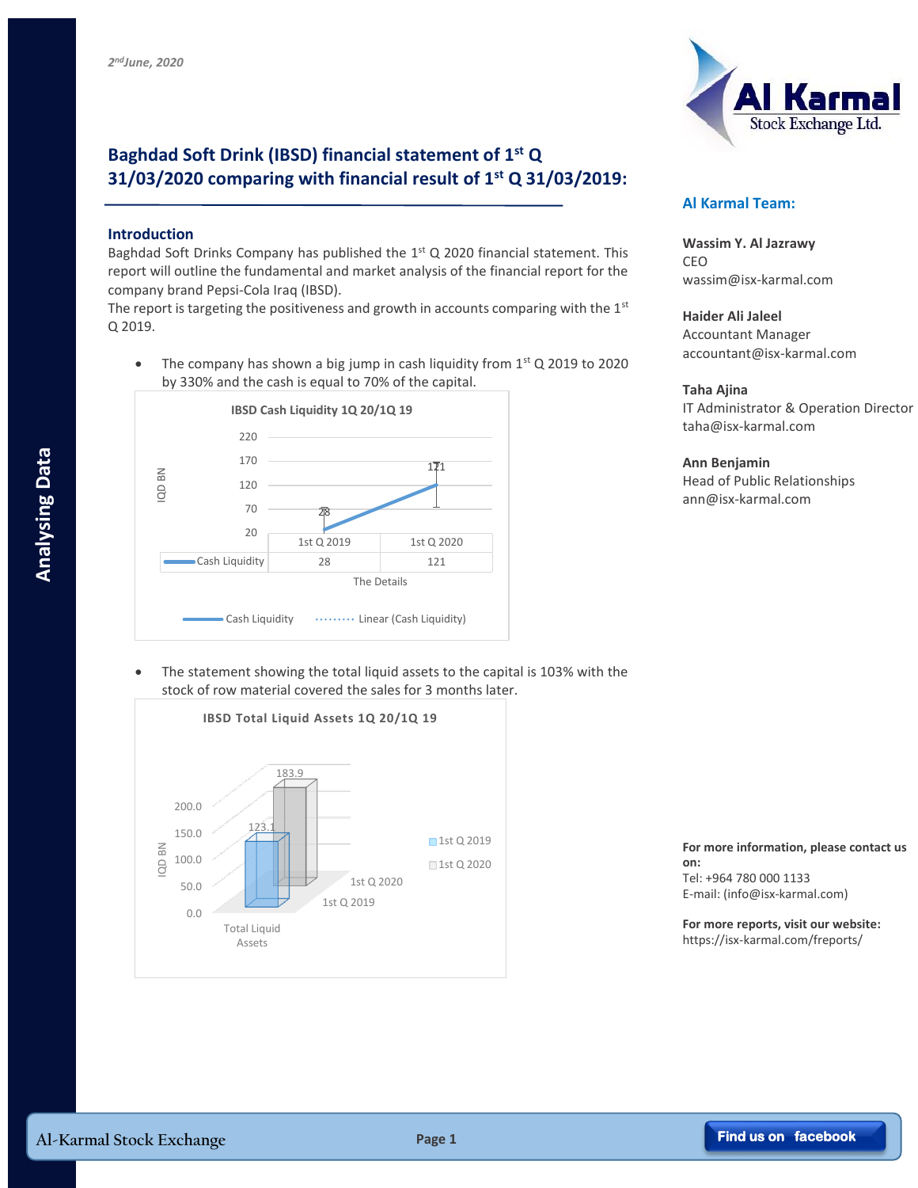

# **Baghdad Soft Drink (IBSD) financial statement of 1st Q 31/03/2020 comparing with financial result of 1st Q 31/03/2019:**

## **Introduction**

Baghdad Soft Drinks Company has published the  $1<sup>st</sup>$  Q 2020 financial statement. This report will outline the fundamental and market analysis of the financial report for the company brand Pepsi-Cola Iraq (IBSD).

The report is targeting the positiveness and growth in accounts comparing with the  $1<sup>st</sup>$ Q 2019.

The company has shown a big jump in cash liquidity from  $1<sup>st</sup>$  Q 2019 to 2020 by 330% and the cash is equal to 70% of the capital.



# **Wassim Y. Al Jazrawy**

**Al Karmal Team:**

CEO wassim@isx-karmal.com

**Haider Ali Jaleel** Accountant Manager accountant@isx-karmal.com

#### **Taha Ajina**

IT Administrator & Operation Director taha@isx-karmal.com

### **Ann Benjamin**

Head of Public Relationships ann@isx-karmal.com

 The statement showing the total liquid assets to the capital is 103% with the stock of row material covered the sales for 3 months later.



#### **For more information, please contact us on:** Tel: +964 780 000 1133 E-mail: (info@isx-karmal.com)

**For more reports, visit our website:** https://isx-karmal.com/freports/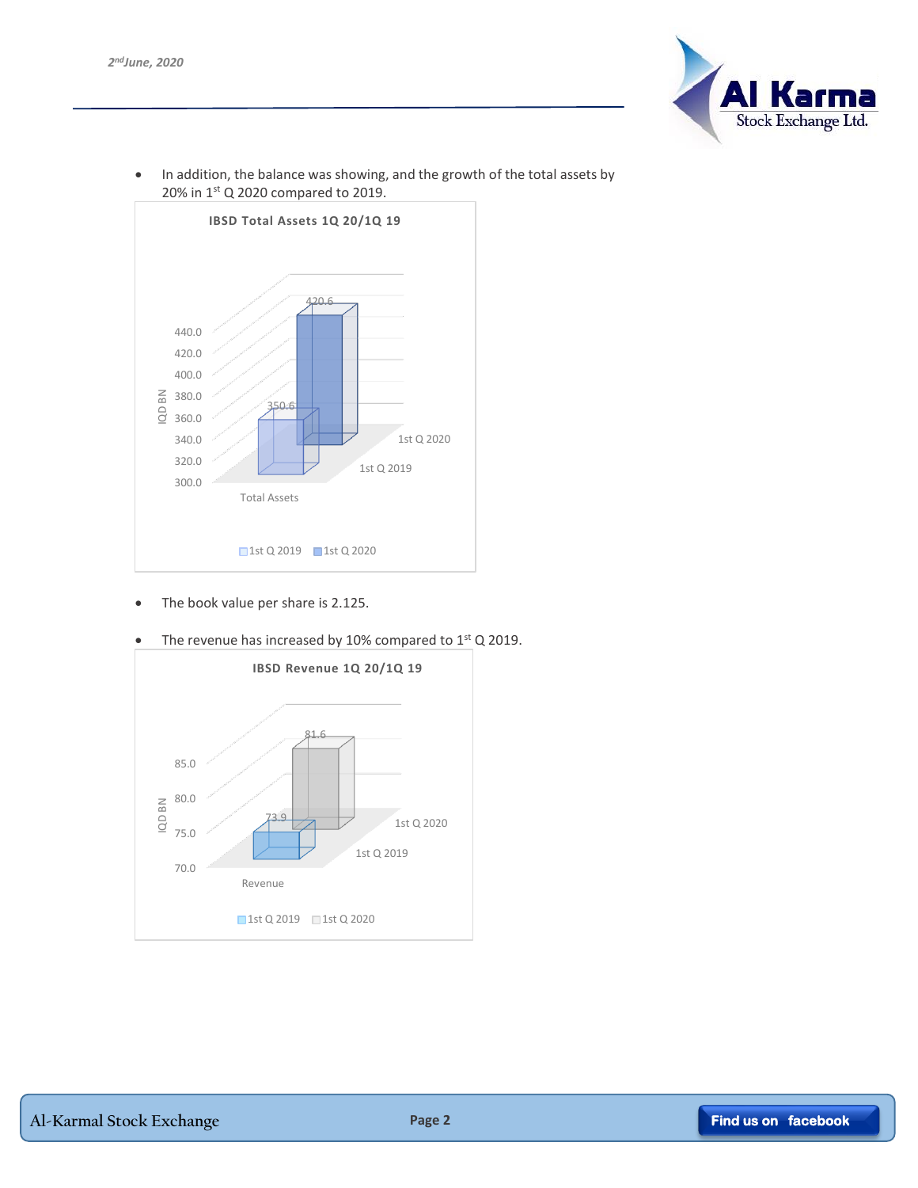



• In addition, the balance was showing, and the growth of the total assets by 20% in 1st Q 2020 compared to 2019.

- The book value per share is 2.125.
- The revenue has increased by 10% compared to  $1<sup>st</sup> Q$  2019.

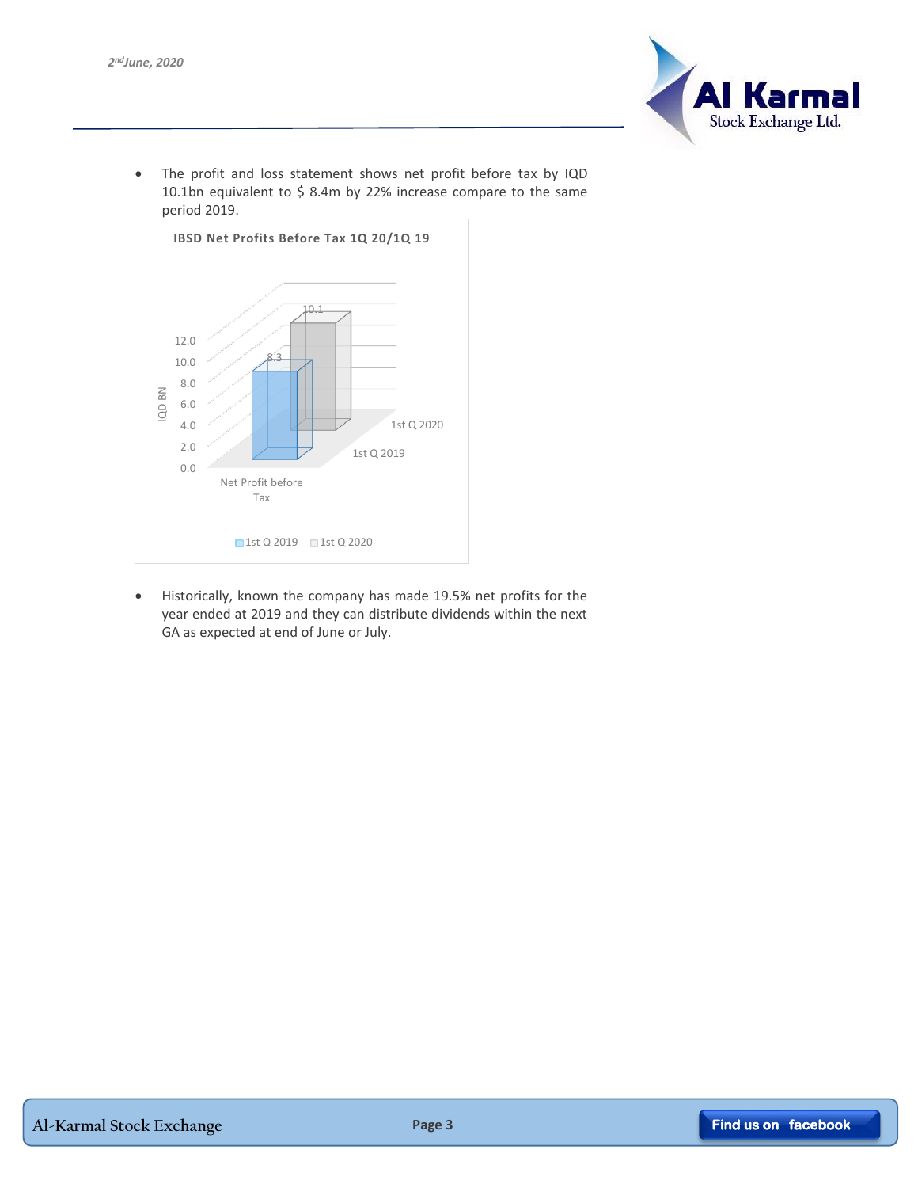

• The profit and loss statement shows net profit before tax by IQD 10.1bn equivalent to \$ 8.4m by 22% increase compare to the same period 2019.



 Historically, known the company has made 19.5% net profits for the year ended at 2019 and they can distribute dividends within the next GA as expected at end of June or July.